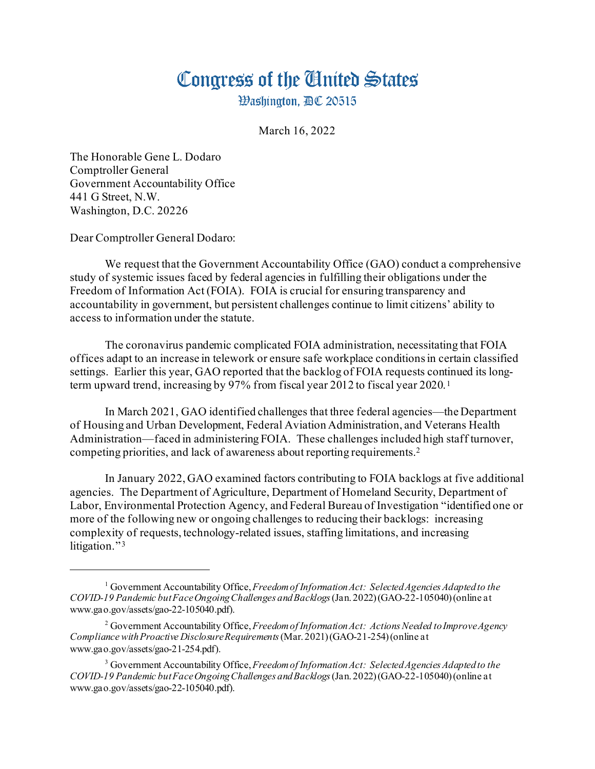## Congress of the Ginited States

**Washington, AC 20515** 

March 16, 2022

The Honorable Gene L. Dodaro Comptroller General Government Accountability Office 441 G Street, N.W. Washington, D.C. 20226

Dear Comptroller General Dodaro:

We request that the Government Accountability Office (GAO) conduct a comprehensive study of systemic issues faced by federal agencies in fulfilling their obligations under the Freedom of Information Act (FOIA). FOIA is crucial for ensuring transparency and accountability in government, but persistent challenges continue to limit citizens' ability to access to information under the statute.

The coronavirus pandemic complicated FOIA administration, necessitating that FOIA offices adapt to an increase in telework or ensure safe workplace conditions in certain classified settings. Earlier this year, GAO reported that the backlog of FOIA requests continued its longterm upward trend, increasing by 97% from fiscal year 2012 to fiscal year 2020. [1](#page-0-0)

In March 2021, GAO identified challenges that three federal agencies—the Department of Housing and Urban Development, Federal Aviation Administration, and Veterans Health Administration—faced in administering FOIA. These challenges included high staff turnover, competing priorities, and lack of awareness about reporting requirements.[2](#page-0-1)

In January 2022, GAO examined factors contributing to FOIA backlogs at five additional agencies. The Department of Agriculture, Department of Homeland Security, Department of Labor, Environmental Protection Agency, and Federal Bureau of Investigation "identified one or more of the following new or ongoing challenges to reducing their backlogs: increasing complexity of requests, technology-related issues, staffing limitations, and increasing litigation." [3](#page-0-2)

<span id="page-0-0"></span><sup>1</sup> Government Accountability Office, *Freedom of Information Act: Selected Agencies Adapted to the COVID-19 Pandemic but Face Ongoing Challenges and Backlogs*(Jan. 2022) (GAO-22-105040) (online at www.gao.gov/assets/gao-22-105040.pdf).

<span id="page-0-1"></span><sup>2</sup> Government Accountability Office, *Freedom of Information Act: Actions Needed to Improve Agency Compliance with Proactive Disclosure Requirements*(Mar. 2021) (GAO-21-254) (online at www.gao.gov/assets/gao-21-254.pdf).

<span id="page-0-2"></span><sup>3</sup> Government Accountability Office, *Freedom of Information Act: Selected Agencies Adapted to the COVID-19 Pandemic but Face Ongoing Challenges and Backlogs*(Jan. 2022) (GAO-22-105040) (online at www.gao.gov/assets/gao-22-105040.pdf).